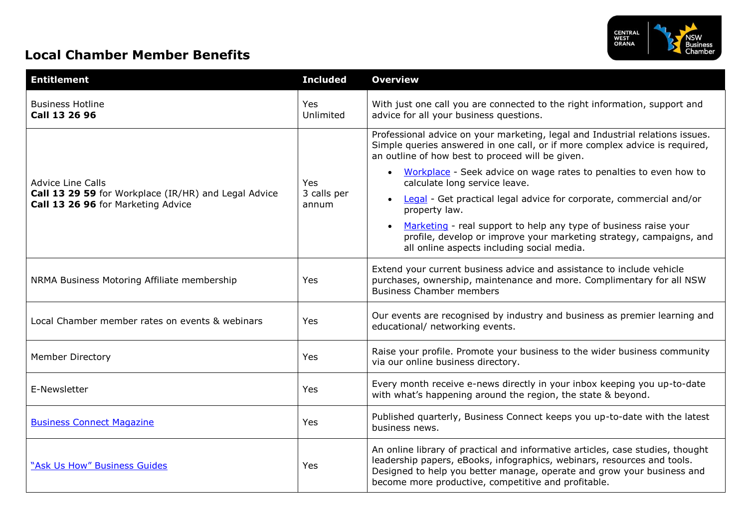

## **Local Chamber Member Benefits**

| <b>Entitlement</b>                                                                                                     | <b>Included</b>             | <b>Overview</b>                                                                                                                                                                                                                                                                            |
|------------------------------------------------------------------------------------------------------------------------|-----------------------------|--------------------------------------------------------------------------------------------------------------------------------------------------------------------------------------------------------------------------------------------------------------------------------------------|
| <b>Business Hotline</b><br>Call 13 26 96                                                                               | Yes<br>Unlimited            | With just one call you are connected to the right information, support and<br>advice for all your business questions.                                                                                                                                                                      |
| <b>Advice Line Calls</b><br>Call 13 29 59 for Workplace (IR/HR) and Legal Advice<br>Call 13 26 96 for Marketing Advice | Yes<br>3 calls per<br>annum | Professional advice on your marketing, legal and Industrial relations issues.<br>Simple queries answered in one call, or if more complex advice is required,<br>an outline of how best to proceed will be given.                                                                           |
|                                                                                                                        |                             | • Workplace - Seek advice on wage rates to penalties to even how to<br>calculate long service leave.                                                                                                                                                                                       |
|                                                                                                                        |                             | Legal - Get practical legal advice for corporate, commercial and/or<br>property law.                                                                                                                                                                                                       |
|                                                                                                                        |                             | Marketing - real support to help any type of business raise your<br>profile, develop or improve your marketing strategy, campaigns, and<br>all online aspects including social media.                                                                                                      |
| NRMA Business Motoring Affiliate membership                                                                            | Yes                         | Extend your current business advice and assistance to include vehicle<br>purchases, ownership, maintenance and more. Complimentary for all NSW<br><b>Business Chamber members</b>                                                                                                          |
| Local Chamber member rates on events & webinars                                                                        | Yes                         | Our events are recognised by industry and business as premier learning and<br>educational/ networking events.                                                                                                                                                                              |
| <b>Member Directory</b>                                                                                                | Yes                         | Raise your profile. Promote your business to the wider business community<br>via our online business directory.                                                                                                                                                                            |
| E-Newsletter                                                                                                           | Yes                         | Every month receive e-news directly in your inbox keeping you up-to-date<br>with what's happening around the region, the state & beyond.                                                                                                                                                   |
| <b>Business Connect Magazine</b>                                                                                       | Yes                         | Published quarterly, Business Connect keeps you up-to-date with the latest<br>business news.                                                                                                                                                                                               |
| "Ask Us How" Business Guides                                                                                           | Yes                         | An online library of practical and informative articles, case studies, thought<br>leadership papers, eBooks, infographics, webinars, resources and tools.<br>Designed to help you better manage, operate and grow your business and<br>become more productive, competitive and profitable. |